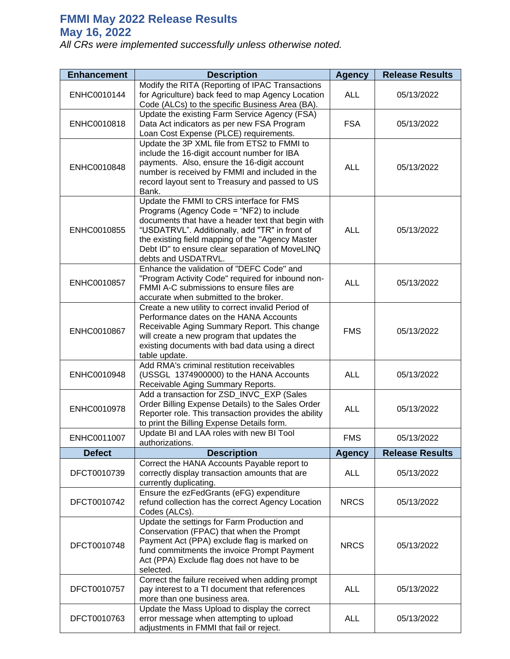## **FMMI May 2022 Release Results May 16, 2022**

*All CRs were implemented successfully unless otherwise noted.*

| <b>Enhancement</b> | <b>Description</b>                                                                                                                                                                                                                                                                                                        | <b>Agency</b> | <b>Release Results</b> |
|--------------------|---------------------------------------------------------------------------------------------------------------------------------------------------------------------------------------------------------------------------------------------------------------------------------------------------------------------------|---------------|------------------------|
| ENHC0010144        | Modify the RITA (Reporting of IPAC Transactions<br>for Agriculture) back feed to map Agency Location<br>Code (ALCs) to the specific Business Area (BA).                                                                                                                                                                   | <b>ALL</b>    | 05/13/2022             |
| ENHC0010818        | Update the existing Farm Service Agency (FSA)<br>Data Act indicators as per new FSA Program<br>Loan Cost Expense (PLCE) requirements.                                                                                                                                                                                     | <b>FSA</b>    | 05/13/2022             |
| ENHC0010848        | Update the 3P XML file from ETS2 to FMMI to<br>include the 16-digit account number for IBA<br>payments. Also, ensure the 16-digit account<br>number is received by FMMI and included in the<br>record layout sent to Treasury and passed to US<br>Bank.                                                                   | <b>ALL</b>    | 05/13/2022             |
| ENHC0010855        | Update the FMMI to CRS interface for FMS<br>Programs (Agency Code = "NF2) to include<br>documents that have a header text that begin with<br>"USDATRVL". Additionally, add "TR" in front of<br>the existing field mapping of the "Agency Master<br>Debt ID" to ensure clear separation of MoveLINQ<br>debts and USDATRVL. | <b>ALL</b>    | 05/13/2022             |
| ENHC0010857        | Enhance the validation of "DEFC Code" and<br>"Program Activity Code" required for inbound non-<br>FMMI A-C submissions to ensure files are<br>accurate when submitted to the broker.                                                                                                                                      | <b>ALL</b>    | 05/13/2022             |
| ENHC0010867        | Create a new utility to correct invalid Period of<br>Performance dates on the HANA Accounts<br>Receivable Aging Summary Report. This change<br>will create a new program that updates the<br>existing documents with bad data using a direct<br>table update.                                                             | <b>FMS</b>    | 05/13/2022             |
| ENHC0010948        | Add RMA's criminal restitution receivables<br>(USSGL 1374900000) to the HANA Accounts<br>Receivable Aging Summary Reports.                                                                                                                                                                                                | <b>ALL</b>    | 05/13/2022             |
| ENHC0010978        | Add a transaction for ZSD_INVC_EXP (Sales<br>Order Billing Expense Details) to the Sales Order<br>Reporter role. This transaction provides the ability<br>to print the Billing Expense Details form.                                                                                                                      | <b>ALL</b>    | 05/13/2022             |
| ENHC0011007        | Update BI and LAA roles with new BI Tool<br>authorizations.                                                                                                                                                                                                                                                               | <b>FMS</b>    | 05/13/2022             |
| <b>Defect</b>      | <b>Description</b>                                                                                                                                                                                                                                                                                                        | <b>Agency</b> | <b>Release Results</b> |
| DFCT0010739        | Correct the HANA Accounts Payable report to<br>correctly display transaction amounts that are<br>currently duplicating.                                                                                                                                                                                                   | <b>ALL</b>    | 05/13/2022             |
| DFCT0010742        | Ensure the ezFedGrants (eFG) expenditure<br>refund collection has the correct Agency Location<br>Codes (ALCs).                                                                                                                                                                                                            | <b>NRCS</b>   | 05/13/2022             |
| DFCT0010748        | Update the settings for Farm Production and<br>Conservation (FPAC) that when the Prompt<br>Payment Act (PPA) exclude flag is marked on<br>fund commitments the invoice Prompt Payment<br>Act (PPA) Exclude flag does not have to be<br>selected.                                                                          | <b>NRCS</b>   | 05/13/2022             |
| DFCT0010757        | Correct the failure received when adding prompt<br>pay interest to a TI document that references<br>more than one business area.                                                                                                                                                                                          | <b>ALL</b>    | 05/13/2022             |
| DFCT0010763        | Update the Mass Upload to display the correct<br>error message when attempting to upload<br>adjustments in FMMI that fail or reject.                                                                                                                                                                                      | <b>ALL</b>    | 05/13/2022             |